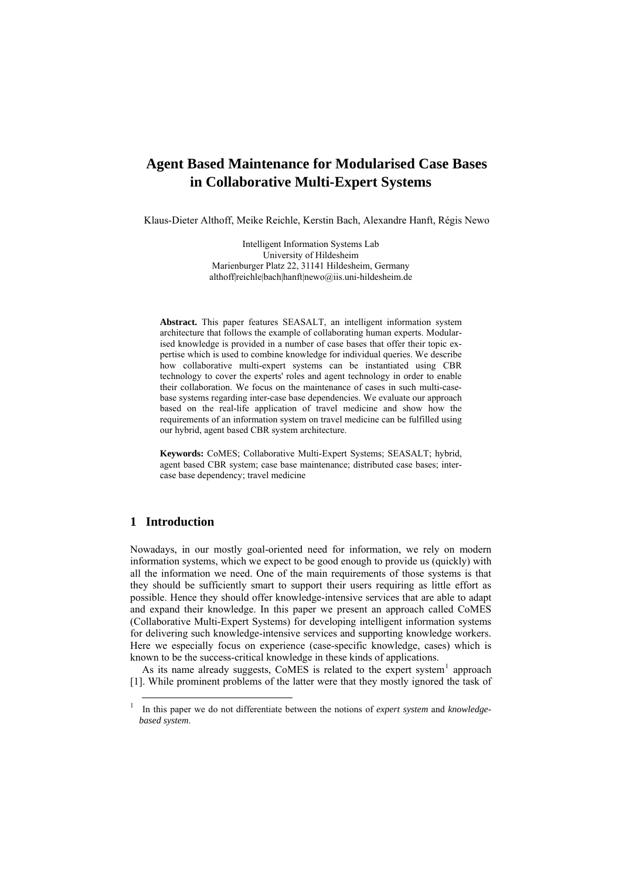# **Agent Based Maintenance for Modularised Case Bases in Collaborative Multi-Expert Systems**

Klaus-Dieter Althoff, Meike Reichle, Kerstin Bach, Alexandre Hanft, Régis Newo

Intelligent Information Systems Lab University of Hildesheim Marienburger Platz 22, 31141 Hildesheim, Germany althoff|reichle|bach|hanft|newo@iis.uni-hildesheim.de

**Abstract.** This paper features SEASALT, an intelligent information system architecture that follows the example of collaborating human experts. Modularised knowledge is provided in a number of case bases that offer their topic expertise which is used to combine knowledge for individual queries. We describe how collaborative multi-expert systems can be instantiated using CBR technology to cover the experts' roles and agent technology in order to enable their collaboration. We focus on the maintenance of cases in such multi-casebase systems regarding inter-case base dependencies. We evaluate our approach based on the real-life application of travel medicine and show how the requirements of an information system on travel medicine can be fulfilled using our hybrid, agent based CBR system architecture.

**Keywords:** CoMES; Collaborative Multi-Expert Systems; SEASALT; hybrid, agent based CBR system; case base maintenance; distributed case bases; intercase base dependency; travel medicine

## **1 Introduction**

Nowadays, in our mostly goal-oriented need for information, we rely on modern information systems, which we expect to be good enough to provide us (quickly) with all the information we need. One of the main requirements of those systems is that they should be sufficiently smart to support their users requiring as little effort as possible. Hence they should offer knowledge-intensive services that are able to adapt and expand their knowledge. In this paper we present an approach called CoMES (Collaborative Multi-Expert Systems) for developing intelligent information systems for delivering such knowledge-intensive services and supporting knowledge workers. Here we especially focus on experience (case-specific knowledge, cases) which is known to be the success-critical knowledge in these kinds of applications.

As its name already suggests, CoMES is related to the  $\text{expert}$  system<sup>[1](#page-0-0)</sup> approach [1]. While prominent problems of the latter were that they mostly ignored the task of

<span id="page-0-0"></span> <sup>1</sup> In this paper we do not differentiate between the notions of *expert system* and *knowledgebased system*.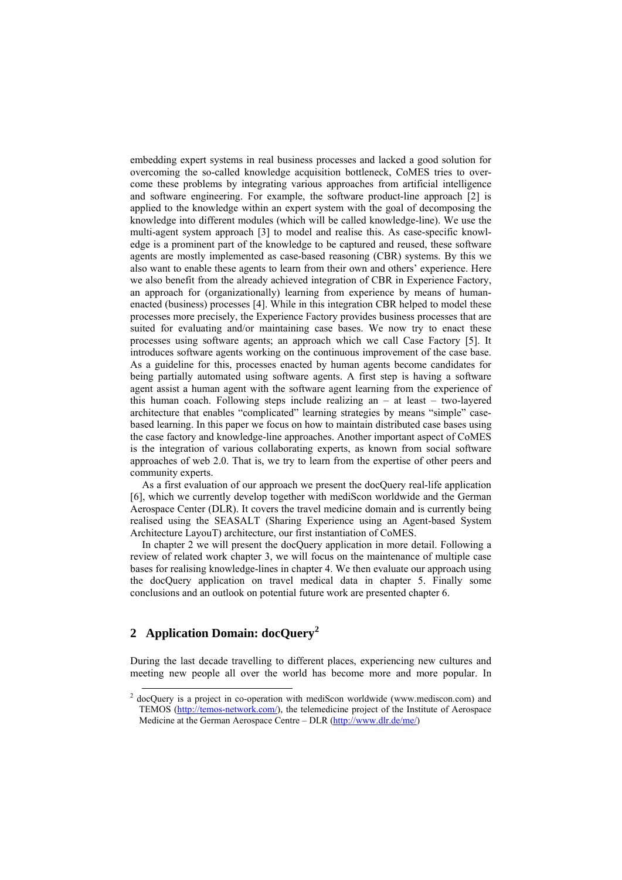embedding expert systems in real business processes and lacked a good solution for overcoming the so-called knowledge acquisition bottleneck, CoMES tries to overcome these problems by integrating various approaches from artificial intelligence and software engineering. For example, the software product-line approach [2] is applied to the knowledge within an expert system with the goal of decomposing the knowledge into different modules (which will be called knowledge-line). We use the multi-agent system approach [3] to model and realise this. As case-specific knowledge is a prominent part of the knowledge to be captured and reused, these software agents are mostly implemented as case-based reasoning (CBR) systems. By this we also want to enable these agents to learn from their own and others' experience. Here we also benefit from the already achieved integration of CBR in Experience Factory, an approach for (organizationally) learning from experience by means of humanenacted (business) processes [4]. While in this integration CBR helped to model these processes more precisely, the Experience Factory provides business processes that are suited for evaluating and/or maintaining case bases. We now try to enact these processes using software agents; an approach which we call Case Factory [5]. It introduces software agents working on the continuous improvement of the case base. As a guideline for this, processes enacted by human agents become candidates for being partially automated using software agents. A first step is having a software agent assist a human agent with the software agent learning from the experience of this human coach. Following steps include realizing an – at least – two-layered architecture that enables "complicated" learning strategies by means "simple" casebased learning. In this paper we focus on how to maintain distributed case bases using the case factory and knowledge-line approaches. Another important aspect of CoMES is the integration of various collaborating experts, as known from social software approaches of web 2.0. That is, we try to learn from the expertise of other peers and community experts.

As a first evaluation of our approach we present the docQuery real-life application [6], which we currently develop together with mediScon worldwide and the German Aerospace Center (DLR). It covers the travel medicine domain and is currently being realised using the SEASALT (Sharing Experience using an Agent-based System Architecture LayouT) architecture, our first instantiation of CoMES.

In chapter 2 we will present the docQuery application in more detail. Following a review of related work chapter 3, we will focus on the maintenance of multiple case bases for realising knowledge-lines in chapter 4. We then evaluate our approach using the docQuery application on travel medical data in chapter 5. Finally some conclusions and an outlook on potential future work are presented chapter 6.

## **2 Application Domain: docQuery[2](#page-1-0)**

During the last decade travelling to different places, experiencing new cultures and meeting new people all over the world has become more and more popular. In

<span id="page-1-0"></span><sup>&</sup>lt;sup>2</sup> docQuery is a project in co-operation with mediScon worldwide (www.mediscon.com) and TEMOS ([http://temos-network.com/\)](http://temos-network.com/), the telemedicine project of the Institute of Aerospace Medicine at the German Aerospace Centre – DLR [\(http://www.dlr.de/me/](http://www.dlr.de/me/))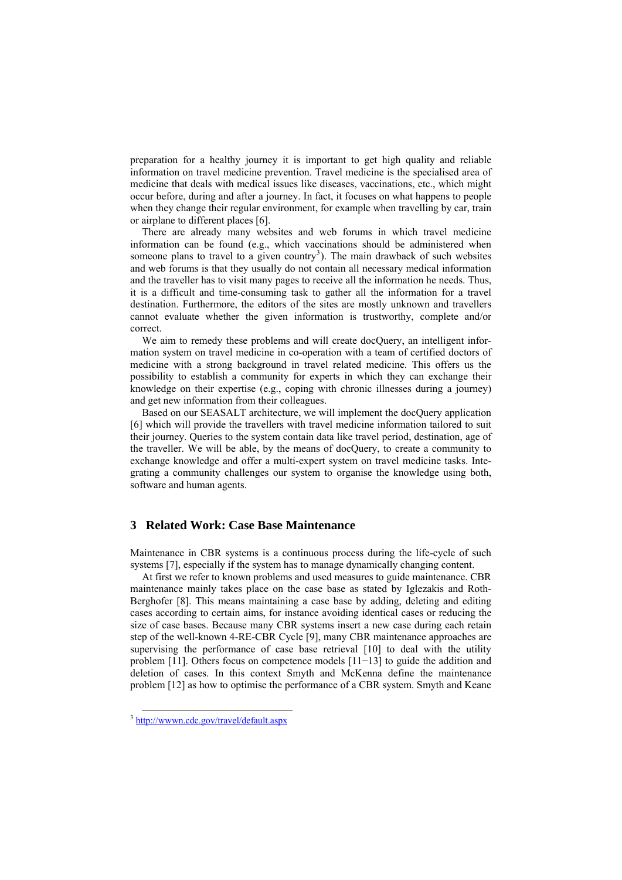preparation for a healthy journey it is important to get high quality and reliable information on travel medicine prevention. Travel medicine is the specialised area of medicine that deals with medical issues like diseases, vaccinations, etc., which might occur before, during and after a journey. In fact, it focuses on what happens to people when they change their regular environment, for example when travelling by car, train or airplane to different places [6].

There are already many websites and web forums in which travel medicine information can be found (e.g., which vaccinations should be administered when someone plans to travel to a given country<sup>[3](#page-2-0)</sup>). The main drawback of such websites and web forums is that they usually do not contain all necessary medical information and the traveller has to visit many pages to receive all the information he needs. Thus, it is a difficult and time-consuming task to gather all the information for a travel destination. Furthermore, the editors of the sites are mostly unknown and travellers cannot evaluate whether the given information is trustworthy, complete and/or correct.

We aim to remedy these problems and will create docQuery, an intelligent information system on travel medicine in co-operation with a team of certified doctors of medicine with a strong background in travel related medicine. This offers us the possibility to establish a community for experts in which they can exchange their knowledge on their expertise (e.g., coping with chronic illnesses during a journey) and get new information from their colleagues.

Based on our SEASALT architecture, we will implement the docQuery application [6] which will provide the travellers with travel medicine information tailored to suit their journey. Queries to the system contain data like travel period, destination, age of the traveller. We will be able, by the means of docQuery, to create a community to exchange knowledge and offer a multi-expert system on travel medicine tasks. Integrating a community challenges our system to organise the knowledge using both, software and human agents.

### **3 Related Work: Case Base Maintenance**

Maintenance in CBR systems is a continuous process during the life-cycle of such systems [7], especially if the system has to manage dynamically changing content.

At first we refer to known problems and used measures to guide maintenance. CBR maintenance mainly takes place on the case base as stated by Iglezakis and Roth-Berghofer [8]. This means maintaining a case base by adding, deleting and editing cases according to certain aims, for instance avoiding identical cases or reducing the size of case bases. Because many CBR systems insert a new case during each retain step of the well-known 4-RE-CBR Cycle [9], many CBR maintenance approaches are supervising the performance of case base retrieval [10] to deal with the utility problem [11]. Others focus on competence models [11−13] to guide the addition and deletion of cases. In this context Smyth and McKenna define the maintenance problem [12] as how to optimise the performance of a CBR system. Smyth and Keane

<span id="page-2-0"></span><sup>&</sup>lt;sup>3</sup> <http://wwwn.cdc.gov/travel/default.aspx>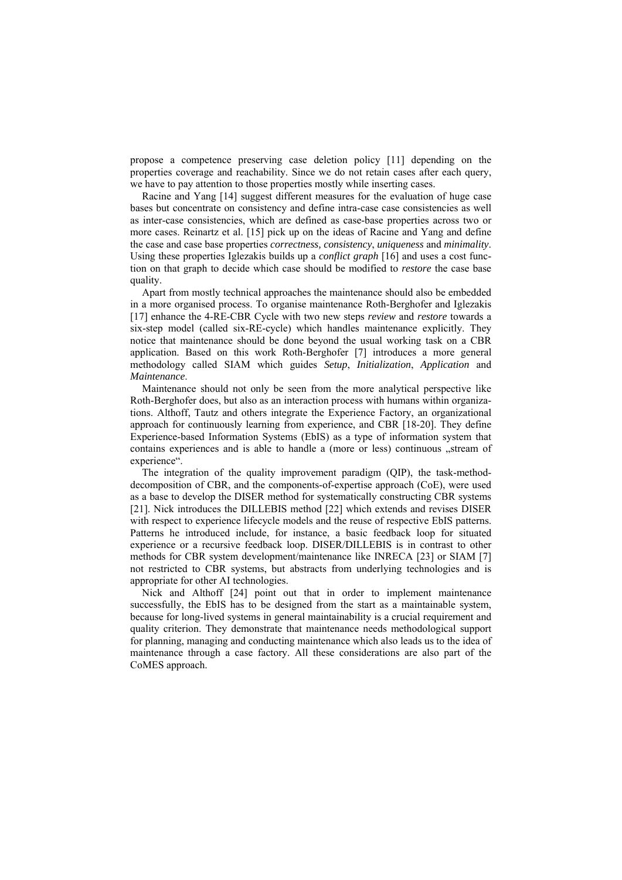propose a competence preserving case deletion policy [11] depending on the properties coverage and reachability. Since we do not retain cases after each query, we have to pay attention to those properties mostly while inserting cases.

Racine and Yang [14] suggest different measures for the evaluation of huge case bases but concentrate on consistency and define intra-case case consistencies as well as inter-case consistencies, which are defined as case-base properties across two or more cases. Reinartz et al. [15] pick up on the ideas of Racine and Yang and define the case and case base properties *correctness, consistency*, *uniqueness* and *minimality*. Using these properties Iglezakis builds up a *conflict graph* [16] and uses a cost function on that graph to decide which case should be modified to *restore* the case base quality.

Apart from mostly technical approaches the maintenance should also be embedded in a more organised process. To organise maintenance Roth-Berghofer and Iglezakis [17] enhance the 4-RE-CBR Cycle with two new steps *review* and *restore* towards a six-step model (called six-RE-cycle) which handles maintenance explicitly. They notice that maintenance should be done beyond the usual working task on a CBR application. Based on this work Roth-Berghofer [7] introduces a more general methodology called SIAM which guides *Setup*, *Initialization*, *Application* and *Maintenance*.

Maintenance should not only be seen from the more analytical perspective like Roth-Berghofer does, but also as an interaction process with humans within organizations. Althoff, Tautz and others integrate the Experience Factory, an organizational approach for continuously learning from experience, and CBR [18-20]. They define Experience-based Information Systems (EbIS) as a type of information system that contains experiences and is able to handle a (more or less) continuous "stream of experience".

The integration of the quality improvement paradigm (QIP), the task-methoddecomposition of CBR, and the components-of-expertise approach (CoE), were used as a base to develop the DISER method for systematically constructing CBR systems [21]. Nick introduces the DILLEBIS method [22] which extends and revises DISER with respect to experience lifecycle models and the reuse of respective EbIS patterns. Patterns he introduced include, for instance, a basic feedback loop for situated experience or a recursive feedback loop. DISER/DILLEBIS is in contrast to other methods for CBR system development/maintenance like INRECA [23] or SIAM [7] not restricted to CBR systems, but abstracts from underlying technologies and is appropriate for other AI technologies.

Nick and Althoff [24] point out that in order to implement maintenance successfully, the EbIS has to be designed from the start as a maintainable system, because for long-lived systems in general maintainability is a crucial requirement and quality criterion. They demonstrate that maintenance needs methodological support for planning, managing and conducting maintenance which also leads us to the idea of maintenance through a case factory. All these considerations are also part of the CoMES approach.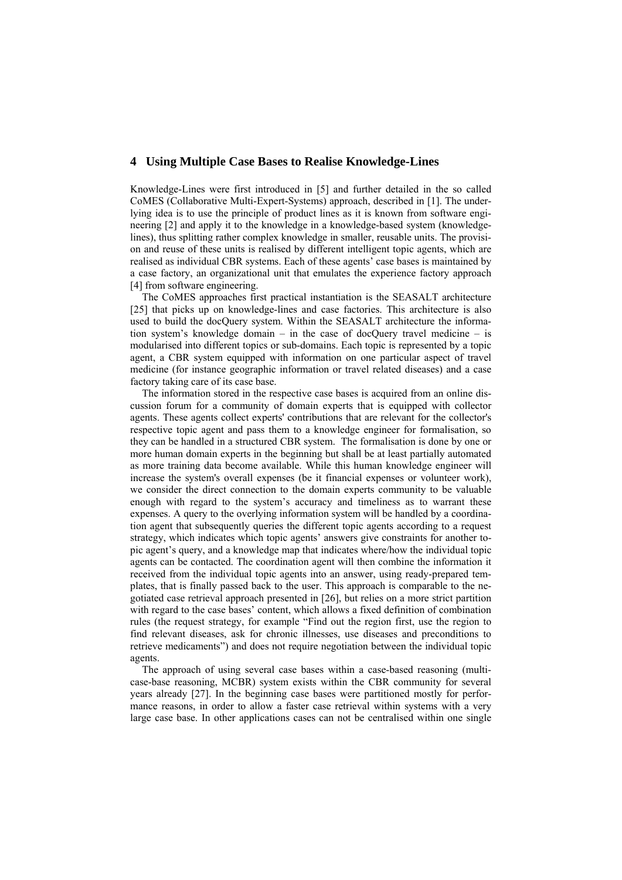#### **4 Using Multiple Case Bases to Realise Knowledge-Lines**

Knowledge-Lines were first introduced in [5] and further detailed in the so called CoMES (Collaborative Multi-Expert-Systems) approach, described in [1]. The underlying idea is to use the principle of product lines as it is known from software engineering [2] and apply it to the knowledge in a knowledge-based system (knowledgelines), thus splitting rather complex knowledge in smaller, reusable units. The provision and reuse of these units is realised by different intelligent topic agents, which are realised as individual CBR systems. Each of these agents' case bases is maintained by a case factory, an organizational unit that emulates the experience factory approach [4] from software engineering.

The CoMES approaches first practical instantiation is the SEASALT architecture [25] that picks up on knowledge-lines and case factories. This architecture is also used to build the docQuery system. Within the SEASALT architecture the information system's knowledge domain – in the case of docQuery travel medicine – is modularised into different topics or sub-domains. Each topic is represented by a topic agent, a CBR system equipped with information on one particular aspect of travel medicine (for instance geographic information or travel related diseases) and a case factory taking care of its case base.

The information stored in the respective case bases is acquired from an online discussion forum for a community of domain experts that is equipped with collector agents. These agents collect experts' contributions that are relevant for the collector's respective topic agent and pass them to a knowledge engineer for formalisation, so they can be handled in a structured CBR system. The formalisation is done by one or more human domain experts in the beginning but shall be at least partially automated as more training data become available. While this human knowledge engineer will increase the system's overall expenses (be it financial expenses or volunteer work), we consider the direct connection to the domain experts community to be valuable enough with regard to the system's accuracy and timeliness as to warrant these expenses. A query to the overlying information system will be handled by a coordination agent that subsequently queries the different topic agents according to a request strategy, which indicates which topic agents' answers give constraints for another topic agent's query, and a knowledge map that indicates where/how the individual topic agents can be contacted. The coordination agent will then combine the information it received from the individual topic agents into an answer, using ready-prepared templates, that is finally passed back to the user. This approach is comparable to the negotiated case retrieval approach presented in [26], but relies on a more strict partition with regard to the case bases' content, which allows a fixed definition of combination rules (the request strategy, for example "Find out the region first, use the region to find relevant diseases, ask for chronic illnesses, use diseases and preconditions to retrieve medicaments") and does not require negotiation between the individual topic agents.

The approach of using several case bases within a case-based reasoning (multicase-base reasoning, MCBR) system exists within the CBR community for several years already [27]. In the beginning case bases were partitioned mostly for performance reasons, in order to allow a faster case retrieval within systems with a very large case base. In other applications cases can not be centralised within one single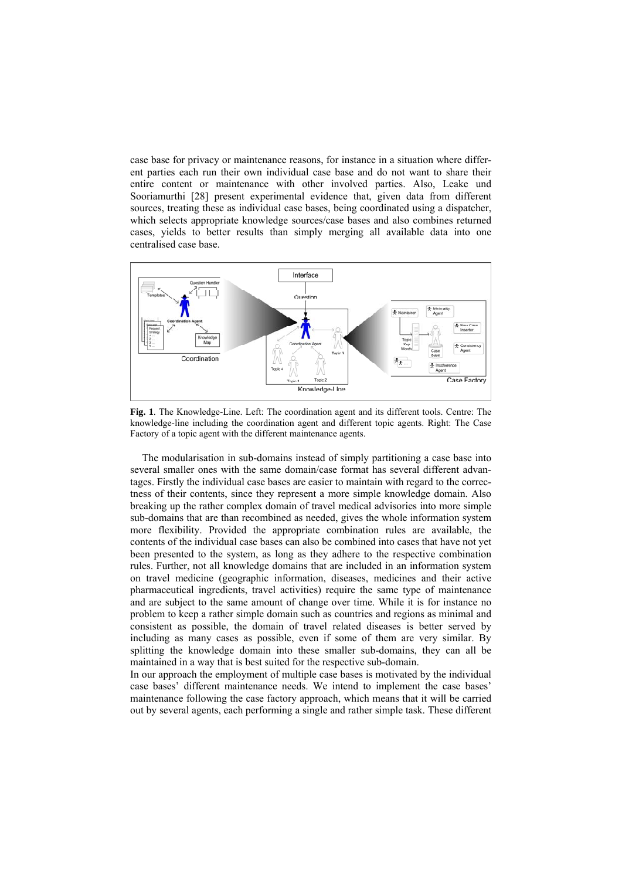case base for privacy or maintenance reasons, for instance in a situation where different parties each run their own individual case base and do not want to share their entire content or maintenance with other involved parties. Also, Leake und Sooriamurthi [28] present experimental evidence that, given data from different sources, treating these as individual case bases, being coordinated using a dispatcher, which selects appropriate knowledge sources/case bases and also combines returned cases, yields to better results than simply merging all available data into one centralised case base.



**Fig. 1**. The Knowledge-Line. Left: The coordination agent and its different tools. Centre: The knowledge-line including the coordination agent and different topic agents. Right: The Case Factory of a topic agent with the different maintenance agents.

The modularisation in sub-domains instead of simply partitioning a case base into several smaller ones with the same domain/case format has several different advantages. Firstly the individual case bases are easier to maintain with regard to the correctness of their contents, since they represent a more simple knowledge domain. Also breaking up the rather complex domain of travel medical advisories into more simple sub-domains that are than recombined as needed, gives the whole information system more flexibility. Provided the appropriate combination rules are available, the contents of the individual case bases can also be combined into cases that have not yet been presented to the system, as long as they adhere to the respective combination rules. Further, not all knowledge domains that are included in an information system on travel medicine (geographic information, diseases, medicines and their active pharmaceutical ingredients, travel activities) require the same type of maintenance and are subject to the same amount of change over time. While it is for instance no problem to keep a rather simple domain such as countries and regions as minimal and consistent as possible, the domain of travel related diseases is better served by including as many cases as possible, even if some of them are very similar. By splitting the knowledge domain into these smaller sub-domains, they can all be maintained in a way that is best suited for the respective sub-domain.

In our approach the employment of multiple case bases is motivated by the individual case bases' different maintenance needs. We intend to implement the case bases' maintenance following the case factory approach, which means that it will be carried out by several agents, each performing a single and rather simple task. These different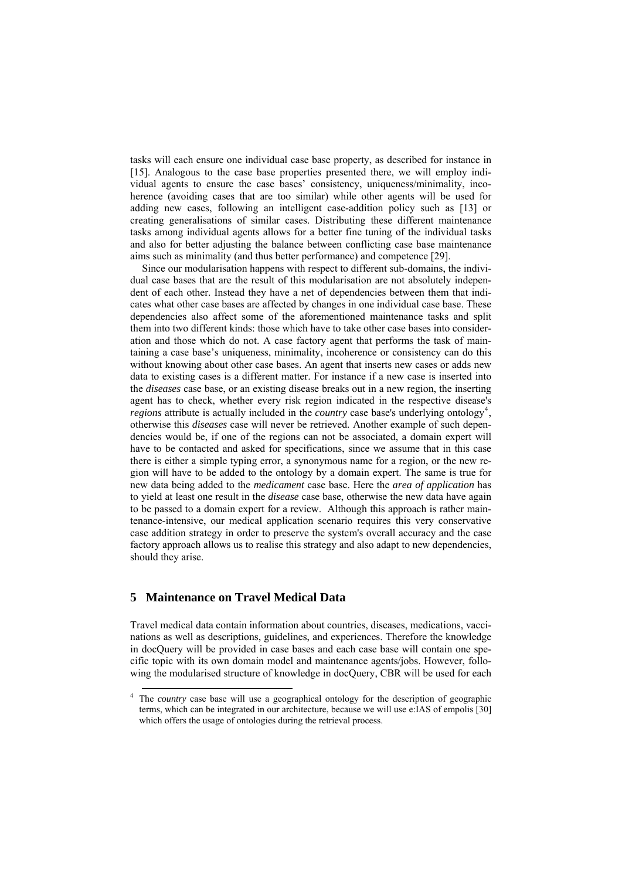tasks will each ensure one individual case base property, as described for instance in [15]. Analogous to the case base properties presented there, we will employ individual agents to ensure the case bases' consistency, uniqueness/minimality, incoherence (avoiding cases that are too similar) while other agents will be used for adding new cases, following an intelligent case-addition policy such as [13] or creating generalisations of similar cases. Distributing these different maintenance tasks among individual agents allows for a better fine tuning of the individual tasks and also for better adjusting the balance between conflicting case base maintenance aims such as minimality (and thus better performance) and competence [29].

Since our modularisation happens with respect to different sub-domains, the individual case bases that are the result of this modularisation are not absolutely independent of each other. Instead they have a net of dependencies between them that indicates what other case bases are affected by changes in one individual case base. These dependencies also affect some of the aforementioned maintenance tasks and split them into two different kinds: those which have to take other case bases into consideration and those which do not. A case factory agent that performs the task of maintaining a case base's uniqueness, minimality, incoherence or consistency can do this without knowing about other case bases. An agent that inserts new cases or adds new data to existing cases is a different matter. For instance if a new case is inserted into the *diseases* case base, or an existing disease breaks out in a new region, the inserting agent has to check, whether every risk region indicated in the respective disease's *regions* attribute is actually included in the *country* case base's underlying ontology<sup>[4](#page-6-0)</sup>, otherwise this *diseases* case will never be retrieved. Another example of such dependencies would be, if one of the regions can not be associated, a domain expert will have to be contacted and asked for specifications, since we assume that in this case there is either a simple typing error, a synonymous name for a region, or the new region will have to be added to the ontology by a domain expert. The same is true for new data being added to the *medicament* case base. Here the *area of application* has to yield at least one result in the *disease* case base, otherwise the new data have again to be passed to a domain expert for a review. Although this approach is rather maintenance-intensive, our medical application scenario requires this very conservative case addition strategy in order to preserve the system's overall accuracy and the case factory approach allows us to realise this strategy and also adapt to new dependencies, should they arise.

#### **5 Maintenance on Travel Medical Data**

Travel medical data contain information about countries, diseases, medications, vaccinations as well as descriptions, guidelines, and experiences. Therefore the knowledge in docQuery will be provided in case bases and each case base will contain one specific topic with its own domain model and maintenance agents/jobs. However, following the modularised structure of knowledge in docQuery, CBR will be used for each

<span id="page-6-0"></span>The *country* case base will use a geographical ontology for the description of geographic terms, which can be integrated in our architecture, because we will use e:IAS of empolis [30] which offers the usage of ontologies during the retrieval process.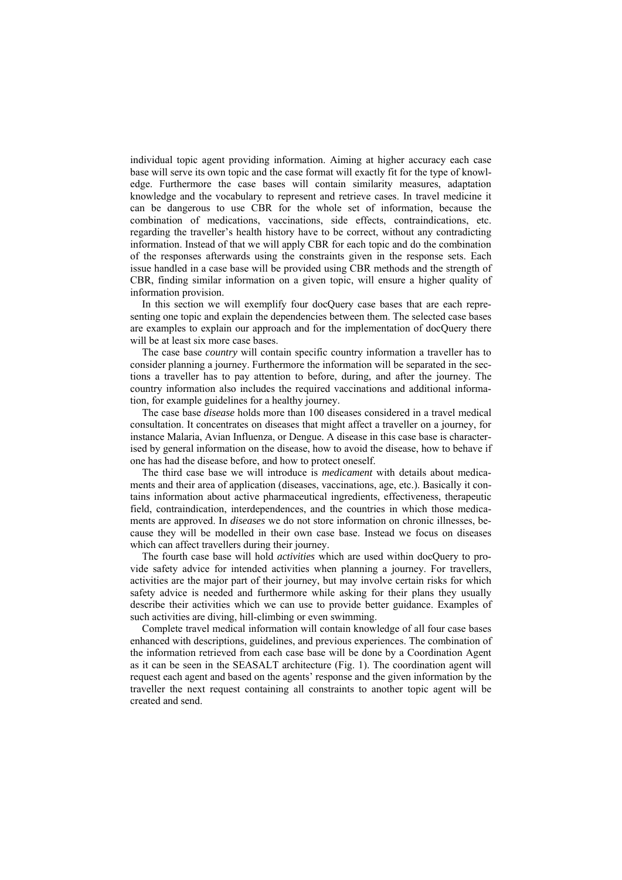individual topic agent providing information. Aiming at higher accuracy each case base will serve its own topic and the case format will exactly fit for the type of knowledge. Furthermore the case bases will contain similarity measures, adaptation knowledge and the vocabulary to represent and retrieve cases. In travel medicine it can be dangerous to use CBR for the whole set of information, because the combination of medications, vaccinations, side effects, contraindications, etc. regarding the traveller's health history have to be correct, without any contradicting information. Instead of that we will apply CBR for each topic and do the combination of the responses afterwards using the constraints given in the response sets. Each issue handled in a case base will be provided using CBR methods and the strength of CBR, finding similar information on a given topic, will ensure a higher quality of information provision.

In this section we will exemplify four docQuery case bases that are each representing one topic and explain the dependencies between them. The selected case bases are examples to explain our approach and for the implementation of docQuery there will be at least six more case bases.

The case base *country* will contain specific country information a traveller has to consider planning a journey. Furthermore the information will be separated in the sections a traveller has to pay attention to before, during, and after the journey. The country information also includes the required vaccinations and additional information, for example guidelines for a healthy journey.

The case base *disease* holds more than 100 diseases considered in a travel medical consultation. It concentrates on diseases that might affect a traveller on a journey, for instance Malaria, Avian Influenza, or Dengue. A disease in this case base is characterised by general information on the disease, how to avoid the disease, how to behave if one has had the disease before, and how to protect oneself.

The third case base we will introduce is *medicament* with details about medicaments and their area of application (diseases, vaccinations, age, etc.). Basically it contains information about active pharmaceutical ingredients, effectiveness, therapeutic field, contraindication, interdependences, and the countries in which those medicaments are approved. In *diseases* we do not store information on chronic illnesses, because they will be modelled in their own case base. Instead we focus on diseases which can affect travellers during their journey.

The fourth case base will hold *activities* which are used within docQuery to provide safety advice for intended activities when planning a journey. For travellers, activities are the major part of their journey, but may involve certain risks for which safety advice is needed and furthermore while asking for their plans they usually describe their activities which we can use to provide better guidance. Examples of such activities are diving, hill-climbing or even swimming.

Complete travel medical information will contain knowledge of all four case bases enhanced with descriptions, guidelines, and previous experiences. The combination of the information retrieved from each case base will be done by a Coordination Agent as it can be seen in the SEASALT architecture (Fig. 1). The coordination agent will request each agent and based on the agents' response and the given information by the traveller the next request containing all constraints to another topic agent will be created and send.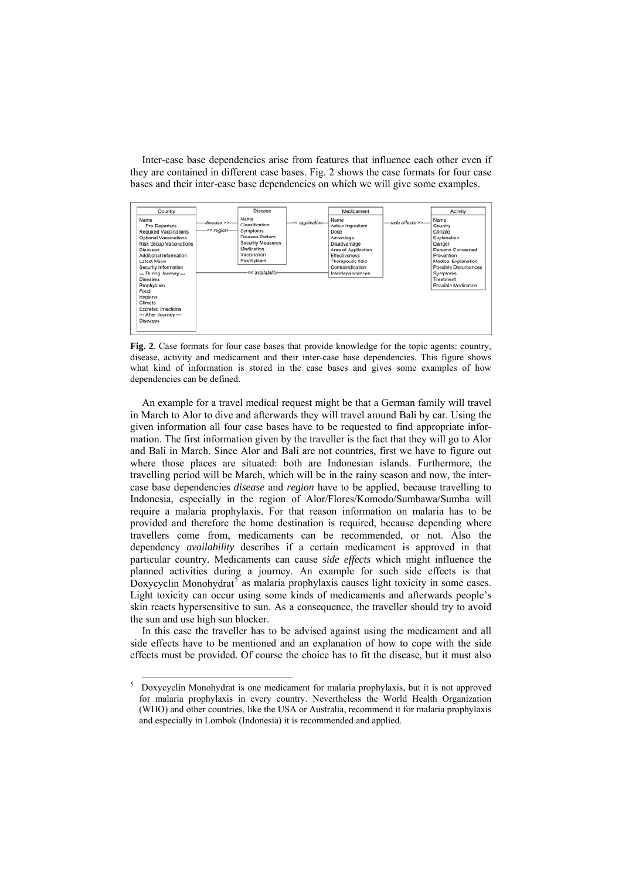Inter-case base dependencies arise from features that influence each other even if they are contained in different case bases. Fig. 2 shows the case formats for four case bases and their inter-case base dependencies on which we will give some examples.



**Fig. 2**. Case formats for four case bases that provide knowledge for the topic agents: country, disease, activity and medicament and their inter-case base dependencies. This figure shows what kind of information is stored in the case bases and gives some examples of how dependencies can be defined.

An example for a travel medical request might be that a German family will travel in March to Alor to dive and afterwards they will travel around Bali by car. Using the given information all four case bases have to be requested to find appropriate information. The first information given by the traveller is the fact that they will go to Alor and Bali in March. Since Alor and Bali are not countries, first we have to figure out where those places are situated: both are Indonesian islands. Furthermore, the travelling period will be March, which will be in the rainy season and now, the intercase base dependencies *disease* and *region* have to be applied, because travelling to Indonesia, especially in the region of Alor/Flores/Komodo/Sumbawa/Sumba will require a malaria prophylaxis. For that reason information on malaria has to be provided and therefore the home destination is required, because depending where travellers come from, medicaments can be recommended, or not. Also the dependency *availability* describes if a certain medicament is approved in that particular country. Medicaments can cause *side effects* which might influence the planned activities during a journey. An example for such side effects is that Doxycyclin Monohydrat<sup>[5](#page-8-0)</sup> as malaria prophylaxis causes light toxicity in some cases. Light toxicity can occur using some kinds of medicaments and afterwards people's skin reacts hypersensitive to sun. As a consequence, the traveller should try to avoid the sun and use high sun blocker.

In this case the traveller has to be advised against using the medicament and all side effects have to be mentioned and an explanation of how to cope with the side effects must be provided. Of course the choice has to fit the disease, but it must also

<span id="page-8-0"></span><sup>&</sup>lt;sup>5</sup> Doxycyclin Monohydrat is one medicament for malaria prophylaxis, but it is not approved for malaria prophylaxis in every country. Nevertheless the World Health Organization (WHO) and other countries, like the USA or Australia, recommend it for malaria prophylaxis and especially in Lombok (Indonesia) it is recommended and applied.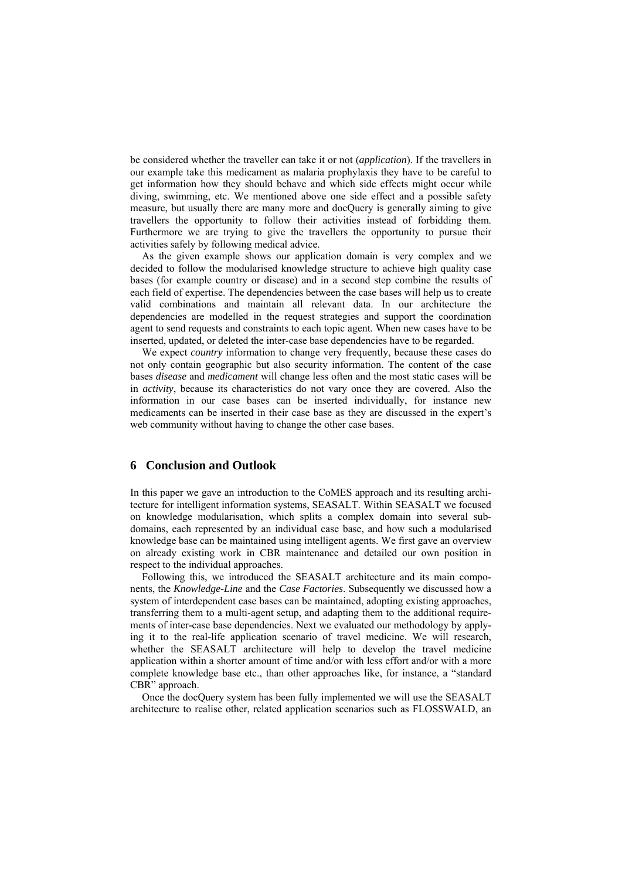be considered whether the traveller can take it or not (*application*). If the travellers in our example take this medicament as malaria prophylaxis they have to be careful to get information how they should behave and which side effects might occur while diving, swimming, etc. We mentioned above one side effect and a possible safety measure, but usually there are many more and docQuery is generally aiming to give travellers the opportunity to follow their activities instead of forbidding them. Furthermore we are trying to give the travellers the opportunity to pursue their activities safely by following medical advice.

As the given example shows our application domain is very complex and we decided to follow the modularised knowledge structure to achieve high quality case bases (for example country or disease) and in a second step combine the results of each field of expertise. The dependencies between the case bases will help us to create valid combinations and maintain all relevant data. In our architecture the dependencies are modelled in the request strategies and support the coordination agent to send requests and constraints to each topic agent. When new cases have to be inserted, updated, or deleted the inter-case base dependencies have to be regarded.

We expect *country* information to change very frequently, because these cases do not only contain geographic but also security information. The content of the case bases *disease* and *medicament* will change less often and the most static cases will be in *activity*, because its characteristics do not vary once they are covered. Also the information in our case bases can be inserted individually, for instance new medicaments can be inserted in their case base as they are discussed in the expert's web community without having to change the other case bases.

#### **6 Conclusion and Outlook**

In this paper we gave an introduction to the CoMES approach and its resulting architecture for intelligent information systems, SEASALT. Within SEASALT we focused on knowledge modularisation, which splits a complex domain into several subdomains, each represented by an individual case base, and how such a modularised knowledge base can be maintained using intelligent agents. We first gave an overview on already existing work in CBR maintenance and detailed our own position in respect to the individual approaches.

Following this, we introduced the SEASALT architecture and its main components, the *Knowledge-Line* and the *Case Factories*. Subsequently we discussed how a system of interdependent case bases can be maintained, adopting existing approaches, transferring them to a multi-agent setup, and adapting them to the additional requirements of inter-case base dependencies. Next we evaluated our methodology by applying it to the real-life application scenario of travel medicine. We will research, whether the SEASALT architecture will help to develop the travel medicine application within a shorter amount of time and/or with less effort and/or with a more complete knowledge base etc., than other approaches like, for instance, a "standard CBR" approach.

Once the docQuery system has been fully implemented we will use the SEASALT architecture to realise other, related application scenarios such as FLOSSWALD, an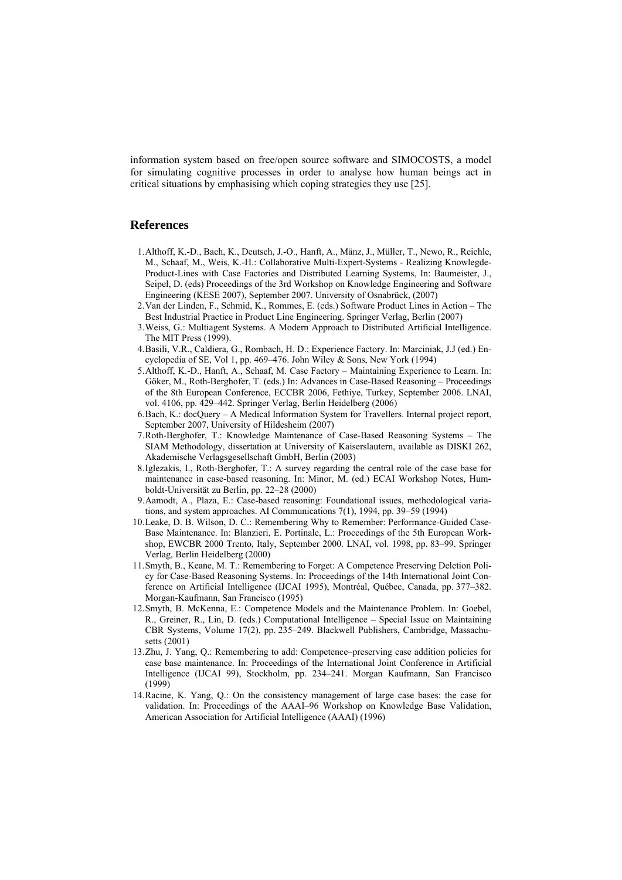information system based on free/open source software and SIMOCOSTS, a model for simulating cognitive processes in order to analyse how human beings act in critical situations by emphasising which coping strategies they use [25].

#### **References**

- 1. Althoff, K.-D., Bach, K., Deutsch, J.-O., Hanft, A., Mänz, J., Müller, T., Newo, R., Reichle, M., Schaaf, M., Weis, K.-H.: Collaborative Multi-Expert-Systems - Realizing Knowlegde-Product-Lines with Case Factories and Distributed Learning Systems, In: Baumeister, J., Seipel, D. (eds) Proceedings of the 3rd Workshop on Knowledge Engineering and Software Engineering (KESE 2007), September 2007. University of Osnabrück, (2007)
- 2. Van der Linden, F., Schmid, K., Rommes, E. (eds.) Software Product Lines in Action The Best Industrial Practice in Product Line Engineering. Springer Verlag, Berlin (2007)
- 3. Weiss, G.: Multiagent Systems. A Modern Approach to Distributed Artificial Intelligence. The MIT Press (1999).
- 4. Basili, V.R., Caldiera, G., Rombach, H. D.: Experience Factory. In: Marciniak, J.J (ed.) Encyclopedia of SE, Vol 1, pp. 469–476. John Wiley & Sons, New York (1994)
- 5. Althoff, K.-D., Hanft, A., Schaaf, M. Case Factory Maintaining Experience to Learn. In: Göker, M., Roth-Berghofer, T. (eds.) In: Advances in Case-Based Reasoning – Proceedings of the 8th European Conference, ECCBR 2006, Fethiye, Turkey, September 2006. LNAI, vol. 4106, pp. 429–442. Springer Verlag, Berlin Heidelberg (2006)
- 6. Bach, K.: docQuery A Medical Information System for Travellers. Internal project report, September 2007, University of Hildesheim (2007)
- 7. Roth-Berghofer, T.: Knowledge Maintenance of Case-Based Reasoning Systems The SIAM Methodology, dissertation at University of Kaiserslautern, available as DISKI 262, Akademische Verlagsgesellschaft GmbH, Berlin (2003)
- 8. Iglezakis, I., Roth-Berghofer, T.: A survey regarding the central role of the case base for maintenance in case-based reasoning. In: Minor, M. (ed.) ECAI Workshop Notes, Humboldt-Universität zu Berlin, pp. 22–28 (2000)
- 9. Aamodt, A., Plaza, E.: Case-based reasoning: Foundational issues, methodological variations, and system approaches. AI Communications 7(1), 1994, pp. 39–59 (1994)
- 10. Leake, D. B. Wilson, D. C.: Remembering Why to Remember: Performance-Guided Case-Base Maintenance. In: Blanzieri, E. Portinale, L.: Proceedings of the 5th European Workshop, EWCBR 2000 Trento, Italy, September 2000. LNAI, vol. 1998, pp. 83–99. Springer Verlag, Berlin Heidelberg (2000)
- 11. Smyth, B., Keane, M. T.: Remembering to Forget: A Competence Preserving Deletion Policy for Case-Based Reasoning Systems. In: Proceedings of the 14th International Joint Conference on Artificial Intelligence (IJCAI 1995), Montréal, Québec, Canada, pp. 377–382. Morgan-Kaufmann, San Francisco (1995)
- 12. Smyth, B. McKenna, E.: Competence Models and the Maintenance Problem. In: Goebel, R., Greiner, R., Lin, D. (eds.) Computational Intelligence – Special Issue on Maintaining CBR Systems, Volume 17(2), pp. 235–249. Blackwell Publishers, Cambridge, Massachusetts (2001)
- 13. Zhu, J. Yang, Q.: Remembering to add: Competence–preserving case addition policies for case base maintenance. In: Proceedings of the International Joint Conference in Artificial Intelligence (IJCAI 99), Stockholm, pp. 234–241. Morgan Kaufmann, San Francisco  $(1999)$
- 14. Racine, K. Yang, Q.: On the consistency management of large case bases: the case for validation. In: Proceedings of the AAAI–96 Workshop on Knowledge Base Validation, American Association for Artificial Intelligence (AAAI) (1996)